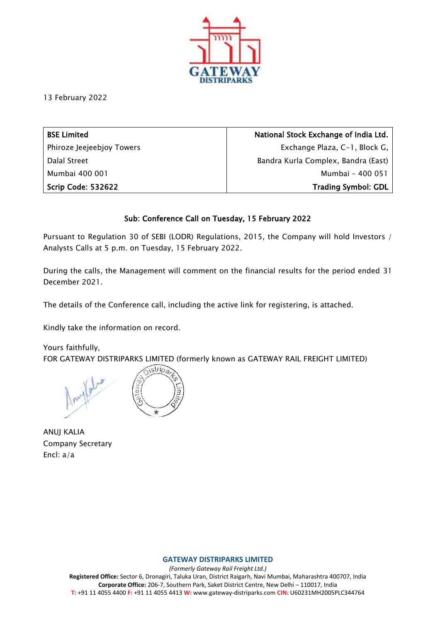

13 February 2022

| <b>BSE Limited</b>        | National Stock Exchange of India Ltd. |
|---------------------------|---------------------------------------|
| Phiroze Jeejeebjoy Towers | Exchange Plaza, C-1, Block G,         |
| Dalal Street              | Bandra Kurla Complex, Bandra (East)   |
| Mumbai 400 001            | Mumbai - 400 051                      |
| <b>Scrip Code: 532622</b> | <b>Trading Symbol: GDL</b>            |

## Sub: Conference Call on Tuesday, 15 February 2022

Pursuant to Regulation 30 of SEBI (LODR) Regulations, 2015, the Company will hold Investors / Analysts Calls at 5 p.m. on Tuesday, 15 February 2022.

During the calls, the Management will comment on the financial results for the period ended 31 December 2021.

The details of the Conference call, including the active link for registering, is attached.

Kindly take the information on record.

Yours faithfully, FOR GATEWAY DISTRIPARKS LIMITED (formerly known as GATEWAY RAIL FREIGHT LIMITED)

sstrips?

ANUJ KALIA Company Secretary Encl: a/a

#### **GATEWAY DISTRIPARKS LIMITED**

*(Formerly Gateway Rail Freight Ltd.)* **Registered Office:** Sector 6, Dronagiri, Taluka Uran, District Raigarh, Navi Mumbai, Maharashtra 400707, India **Corporate Office:** 206-7, Southern Park, Saket District Centre, New Delhi – 110017, India **T:** +91 11 4055 4400 **F:** +91 11 4055 4413 **W:** www.gateway-distriparks.com **CIN:** U60231MH2005PLC344764